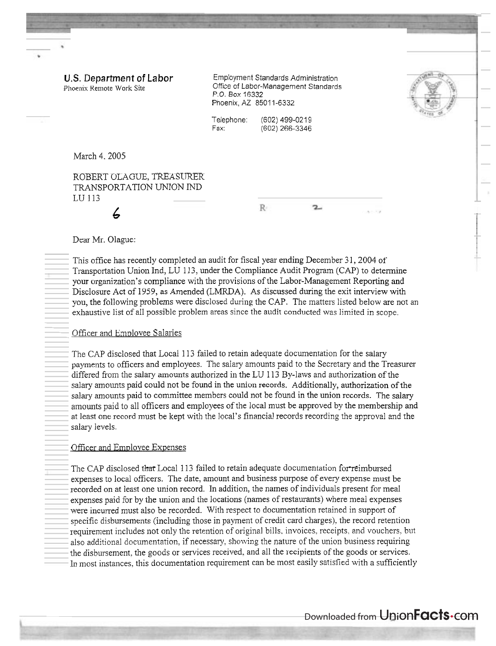U.S. Department **of** Labor Phoenix Remote Work Site

Employment Standards Administration Office of Labor-Management Standards P.O. Box 16332 Phoenix, AZ 85011-6332



Telephone: (602) 499-0219<br>Eax: (602) 266-3346 (602) 266-3346

March 4. 2005

ROBERT OLAGUE, TREASURER TRANSPORTATION UNION IND LU 113

R.

2.

#### Dear Mr. Olague:

*6* 

This office has recently completed an audit for fiscal year ending December  $31,2004$  of Transportation Union Ind, LU 113, under the Compliance Audit Program (CAP) to determine your organization's compliance with the provisions of the Labor-Management Reporting and Disclosure Act of 1959, as Amended (LMRDA). As discussed during the exit interview with you, the following problems were disclosed during the CAP. The matters listed below are not an exhaustive list of all possible problem areas since the audit conducted was limited in scope.

### Officer and Emplovee Salaries

The CAP disclosed that Local 1 13 failed to retain adequate documentation for the salary payments to officers and employees. The salary amounts paid to the Secretary and the Treasurer differed from the salary amounts authorized in the LU 113 By-laws and authorization of the salary amounts paid could not be found in the union records. Additionally, authorization of the salary amounts paid to committee members could not be found in the union records. The salary amounts paid to all officers and employees of the local must be approved by the membership and at least one record must be kept with the local's financial records recording the approval and the salary levels.

## Officer and Employee Expenses

The CAP disclosed that Local 113 failed to retain adequate documentation for reimbursed expenses to local officers. The date, amount and business purpose of every expense must be recorded on at least one union record. In addition, the names of individuals present for meal expenses paid for by the union and ihe locations (names of restaurants) where meal expenses were incurred must also be recorded. With respect to documentation retained in support of specific disbursements (including those in payment of credit card charges), the record retention requirement includes not only the retention of original bills, invoices, receipts, and vouchers, but also additional documentation, if necessary, showing the nature of the union business requiring the disbursement. the goods or services received, and all the recipients of the goods or services. In most instances, this documentation requirement can be most easily satisfied with a sufficiently